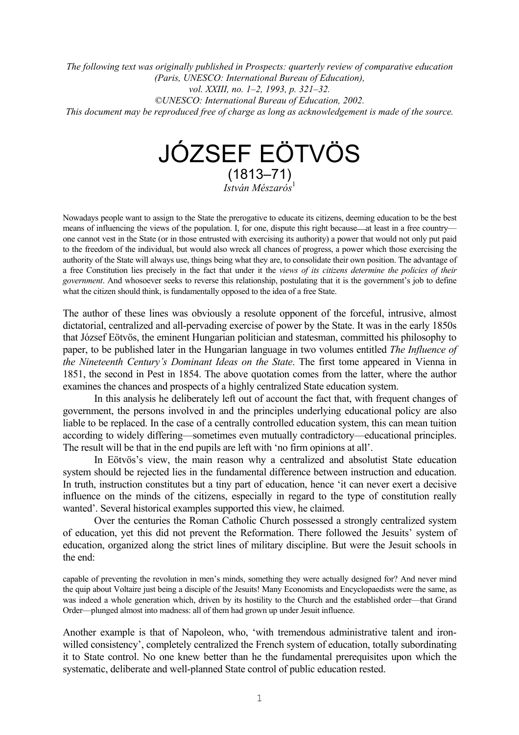*The following text was originally published in Prospects: quarterly review of comparative education (Paris, UNESCO: International Bureau of Education),* 

*vol. XXIII, no. 1–2, 1993, p. 321–32.* 

*©UNESCO: International Bureau of Education, 2002.* 

*This document may be reproduced free of charge as long as acknowledgement is made of the source.* 

## JÓZSEF EÖTVÖS (1813–71) *István Mészarós*<sup>1</sup>

Nowadays people want to assign to the State the prerogative to educate its citizens, deeming education to be the best means of influencing the views of the population. I, for one, dispute this right because—at least in a free country one cannot vest in the State (or in those entrusted with exercising its authority) a power that would not only put paid to the freedom of the individual, but would also wreck all chances of progress, a power which those exercising the authority of the State will always use, things being what they are, to consolidate their own position. The advantage of a free Constitution lies precisely in the fact that under it the *views of its citizens determine the policies of their government*. And whosoever seeks to reverse this relationship, postulating that it is the government's job to define what the citizen should think, is fundamentally opposed to the idea of a free State.

The author of these lines was obviously a resolute opponent of the forceful, intrusive, almost dictatorial, centralized and all-pervading exercise of power by the State. It was in the early 1850s that József Eötvös, the eminent Hungarian politician and statesman, committed his philosophy to paper, to be published later in the Hungarian language in two volumes entitled *The Influence of the Nineteenth Century's Dominant Ideas on the State*. The first tome appeared in Vienna in 1851, the second in Pest in 1854. The above quotation comes from the latter, where the author examines the chances and prospects of a highly centralized State education system.

 In this analysis he deliberately left out of account the fact that, with frequent changes of government, the persons involved in and the principles underlying educational policy are also liable to be replaced. In the case of a centrally controlled education system, this can mean tuition according to widely differing—sometimes even mutually contradictory—educational principles. The result will be that in the end pupils are left with 'no firm opinions at all'.

 In Eötvös's view, the main reason why a centralized and absolutist State education system should be rejected lies in the fundamental difference between instruction and education. In truth, instruction constitutes but a tiny part of education, hence 'it can never exert a decisive influence on the minds of the citizens, especially in regard to the type of constitution really wanted'. Several historical examples supported this view, he claimed.

 Over the centuries the Roman Catholic Church possessed a strongly centralized system of education, yet this did not prevent the Reformation. There followed the Jesuits' system of education, organized along the strict lines of military discipline. But were the Jesuit schools in the end:

capable of preventing the revolution in men's minds, something they were actually designed for? And never mind the quip about Voltaire just being a disciple of the Jesuits! Many Economists and Encyclopaedists were the same, as was indeed a whole generation which, driven by its hostility to the Church and the established order—that Grand Order—plunged almost into madness: all of them had grown up under Jesuit influence.

Another example is that of Napoleon, who, 'with tremendous administrative talent and ironwilled consistency', completely centralized the French system of education, totally subordinating it to State control. No one knew better than he the fundamental prerequisites upon which the systematic, deliberate and well-planned State control of public education rested.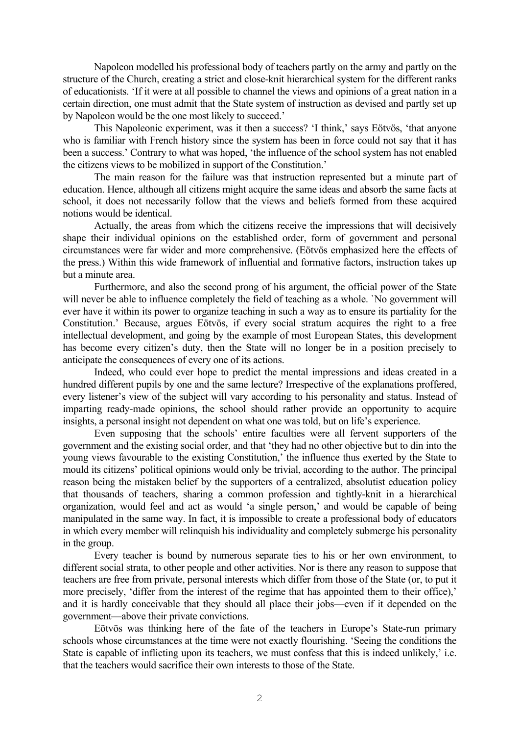Napoleon modelled his professional body of teachers partly on the army and partly on the structure of the Church, creating a strict and close-knit hierarchical system for the different ranks of educationists. 'If it were at all possible to channel the views and opinions of a great nation in a certain direction, one must admit that the State system of instruction as devised and partly set up by Napoleon would be the one most likely to succeed.'

 This Napoleonic experiment, was it then a success? 'I think,' says Eötvös, 'that anyone who is familiar with French history since the system has been in force could not say that it has been a success.' Contrary to what was hoped, 'the influence of the school system has not enabled the citizens views to be mobilized in support of the Constitution.'

 The main reason for the failure was that instruction represented but a minute part of education. Hence, although all citizens might acquire the same ideas and absorb the same facts at school, it does not necessarily follow that the views and beliefs formed from these acquired notions would be identical.

 Actually, the areas from which the citizens receive the impressions that will decisively shape their individual opinions on the established order, form of government and personal circumstances were far wider and more comprehensive. (Eötvös emphasized here the effects of the press.) Within this wide framework of influential and formative factors, instruction takes up but a minute area.

 Furthermore, and also the second prong of his argument, the official power of the State will never be able to influence completely the field of teaching as a whole. `No government will ever have it within its power to organize teaching in such a way as to ensure its partiality for the Constitution.' Because, argues Eötvös, if every social stratum acquires the right to a free intellectual development, and going by the example of most European States, this development has become every citizen's duty, then the State will no longer be in a position precisely to anticipate the consequences of every one of its actions.

 Indeed, who could ever hope to predict the mental impressions and ideas created in a hundred different pupils by one and the same lecture? Irrespective of the explanations proffered, every listener's view of the subject will vary according to his personality and status. Instead of imparting ready-made opinions, the school should rather provide an opportunity to acquire insights, a personal insight not dependent on what one was told, but on life's experience.

 Even supposing that the schools' entire faculties were all fervent supporters of the government and the existing social order, and that 'they had no other objective but to din into the young views favourable to the existing Constitution,' the influence thus exerted by the State to mould its citizens' political opinions would only be trivial, according to the author. The principal reason being the mistaken belief by the supporters of a centralized, absolutist education policy that thousands of teachers, sharing a common profession and tightly-knit in a hierarchical organization, would feel and act as would 'a single person,' and would be capable of being manipulated in the same way. In fact, it is impossible to create a professional body of educators in which every member will relinquish his individuality and completely submerge his personality in the group.

 Every teacher is bound by numerous separate ties to his or her own environment, to different social strata, to other people and other activities. Nor is there any reason to suppose that teachers are free from private, personal interests which differ from those of the State (or, to put it more precisely, 'differ from the interest of the regime that has appointed them to their office),' and it is hardly conceivable that they should all place their jobs—even if it depended on the government—above their private convictions.

 Eötvös was thinking here of the fate of the teachers in Europe's State-run primary schools whose circumstances at the time were not exactly flourishing. 'Seeing the conditions the State is capable of inflicting upon its teachers, we must confess that this is indeed unlikely,' i.e. that the teachers would sacrifice their own interests to those of the State.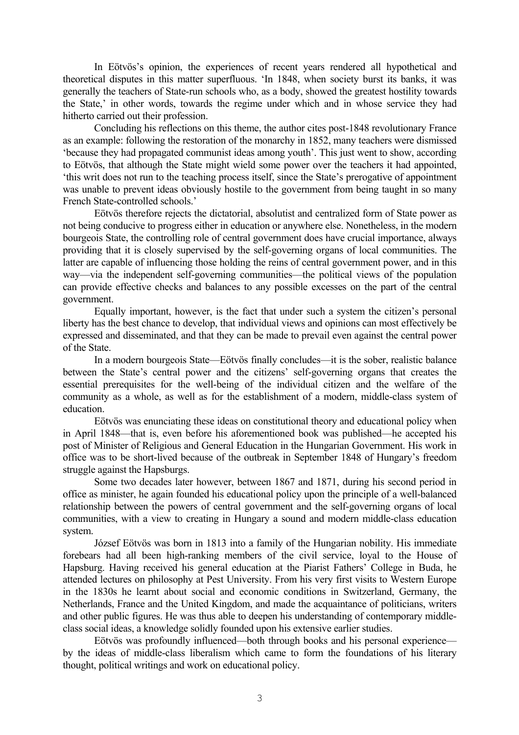In Eötvös's opinion, the experiences of recent years rendered all hypothetical and theoretical disputes in this matter superfluous. 'In 1848, when society burst its banks, it was generally the teachers of State-run schools who, as a body, showed the greatest hostility towards the State,' in other words, towards the regime under which and in whose service they had hitherto carried out their profession.

 Concluding his reflections on this theme, the author cites post-1848 revolutionary France as an example: following the restoration of the monarchy in 1852, many teachers were dismissed 'because they had propagated communist ideas among youth'. This just went to show, according to Eötvös, that although the State might wield some power over the teachers it had appointed, 'this writ does not run to the teaching process itself, since the State's prerogative of appointment was unable to prevent ideas obviously hostile to the government from being taught in so many French State-controlled schools.'

 Eötvös therefore rejects the dictatorial, absolutist and centralized form of State power as not being conducive to progress either in education or anywhere else. Nonetheless, in the modern bourgeois State, the controlling role of central government does have crucial importance, always providing that it is closely supervised by the self-governing organs of local communities. The latter are capable of influencing those holding the reins of central government power, and in this way—via the independent self-governing communities—the political views of the population can provide effective checks and balances to any possible excesses on the part of the central government.

 Equally important, however, is the fact that under such a system the citizen's personal liberty has the best chance to develop, that individual views and opinions can most effectively be expressed and disseminated, and that they can be made to prevail even against the central power of the State.

 In a modern bourgeois State—Eötvös finally concludes—it is the sober, realistic balance between the State's central power and the citizens' self-governing organs that creates the essential prerequisites for the well-being of the individual citizen and the welfare of the community as a whole, as well as for the establishment of a modern, middle-class system of education.

 Eötvös was enunciating these ideas on constitutional theory and educational policy when in April 1848—that is, even before his aforementioned book was published—he accepted his post of Minister of Religious and General Education in the Hungarian Government. His work in office was to be short-lived because of the outbreak in September 1848 of Hungary's freedom struggle against the Hapsburgs.

 Some two decades later however, between 1867 and 1871, during his second period in office as minister, he again founded his educational policy upon the principle of a well-balanced relationship between the powers of central government and the self-governing organs of local communities, with a view to creating in Hungary a sound and modern middle-class education system.

 József Eötvös was born in 1813 into a family of the Hungarian nobility. His immediate forebears had all been high-ranking members of the civil service, loyal to the House of Hapsburg. Having received his general education at the Piarist Fathers' College in Buda, he attended lectures on philosophy at Pest University. From his very first visits to Western Europe in the 1830s he learnt about social and economic conditions in Switzerland, Germany, the Netherlands, France and the United Kingdom, and made the acquaintance of politicians, writers and other public figures. He was thus able to deepen his understanding of contemporary middleclass social ideas, a knowledge solidly founded upon his extensive earlier studies.

 Eötvös was profoundly influenced—both through books and his personal experience by the ideas of middle-class liberalism which came to form the foundations of his literary thought, political writings and work on educational policy.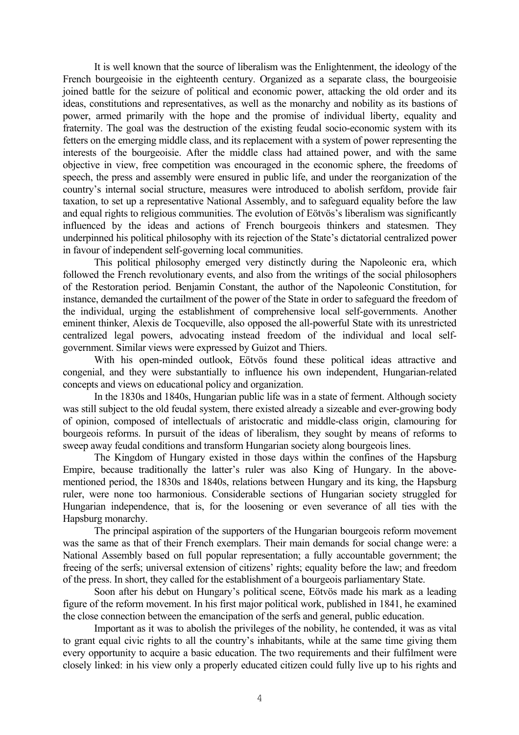It is well known that the source of liberalism was the Enlightenment, the ideology of the French bourgeoisie in the eighteenth century. Organized as a separate class, the bourgeoisie joined battle for the seizure of political and economic power, attacking the old order and its ideas, constitutions and representatives, as well as the monarchy and nobility as its bastions of power, armed primarily with the hope and the promise of individual liberty, equality and fraternity. The goal was the destruction of the existing feudal socio-economic system with its fetters on the emerging middle class, and its replacement with a system of power representing the interests of the bourgeoisie. After the middle class had attained power, and with the same objective in view, free competition was encouraged in the economic sphere, the freedoms of speech, the press and assembly were ensured in public life, and under the reorganization of the country's internal social structure, measures were introduced to abolish serfdom, provide fair taxation, to set up a representative National Assembly, and to safeguard equality before the law and equal rights to religious communities. The evolution of Eötvös's liberalism was significantly influenced by the ideas and actions of French bourgeois thinkers and statesmen. They underpinned his political philosophy with its rejection of the State's dictatorial centralized power in favour of independent self-governing local communities.

 This political philosophy emerged very distinctly during the Napoleonic era, which followed the French revolutionary events, and also from the writings of the social philosophers of the Restoration period. Benjamin Constant, the author of the Napoleonic Constitution, for instance, demanded the curtailment of the power of the State in order to safeguard the freedom of the individual, urging the establishment of comprehensive local self-governments. Another eminent thinker, Alexis de Tocqueville, also opposed the all-powerful State with its unrestricted centralized legal powers, advocating instead freedom of the individual and local selfgovernment. Similar views were expressed by Guizot and Thiers.

 With his open-minded outlook, Eötvös found these political ideas attractive and congenial, and they were substantially to influence his own independent, Hungarian-related concepts and views on educational policy and organization.

 In the 1830s and 1840s, Hungarian public life was in a state of ferment. Although society was still subject to the old feudal system, there existed already a sizeable and ever-growing body of opinion, composed of intellectuals of aristocratic and middle-class origin, clamouring for bourgeois reforms. In pursuit of the ideas of liberalism, they sought by means of reforms to sweep away feudal conditions and transform Hungarian society along bourgeois lines.

 The Kingdom of Hungary existed in those days within the confines of the Hapsburg Empire, because traditionally the latter's ruler was also King of Hungary. In the abovementioned period, the 1830s and 1840s, relations between Hungary and its king, the Hapsburg ruler, were none too harmonious. Considerable sections of Hungarian society struggled for Hungarian independence, that is, for the loosening or even severance of all ties with the Hapsburg monarchy.

 The principal aspiration of the supporters of the Hungarian bourgeois reform movement was the same as that of their French exemplars. Their main demands for social change were: a National Assembly based on full popular representation; a fully accountable government; the freeing of the serfs; universal extension of citizens' rights; equality before the law; and freedom of the press. In short, they called for the establishment of a bourgeois parliamentary State.

 Soon after his debut on Hungary's political scene, Eötvös made his mark as a leading figure of the reform movement. In his first major political work, published in 1841, he examined the close connection between the emancipation of the serfs and general, public education.

 Important as it was to abolish the privileges of the nobility, he contended, it was as vital to grant equal civic rights to all the country's inhabitants, while at the same time giving them every opportunity to acquire a basic education. The two requirements and their fulfilment were closely linked: in his view only a properly educated citizen could fully live up to his rights and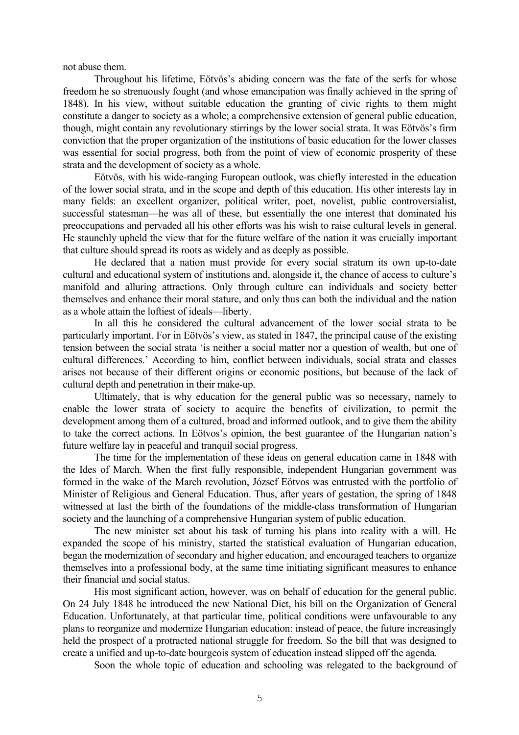not abuse them.

 Throughout his lifetime, Eötvös's abiding concern was the fate of the serfs for whose freedom he so strenuously fought (and whose emancipation was finally achieved in the spring of 1848). In his view, without suitable education the granting of civic rights to them might constitute a danger to society as a whole; a comprehensive extension of general public education, though, might contain any revolutionary stirrings by the lower social strata. It was Eötvös's firm conviction that the proper organization of the institutions of basic education for the lower classes was essential for social progress, both from the point of view of economic prosperity of these strata and the development of society as a whole.

 Eötvös, with his wide-ranging European outlook, was chiefly interested in the education of the lower social strata, and in the scope and depth of this education. His other interests lay in many fields: an excellent organizer, political writer, poet, novelist, public controversialist, successful statesman—he was all of these, but essentially the one interest that dominated his preoccupations and pervaded all his other efforts was his wish to raise cultural levels in general. He staunchly upheld the view that for the future welfare of the nation it was crucially important that culture should spread its roots as widely and as deeply as possible.

 He declared that a nation must provide for every social stratum its own up-to-date cultural and educational system of institutions and, alongside it, the chance of access to culture's manifold and alluring attractions. Only through culture can individuals and society better themselves and enhance their moral stature, and only thus can both the individual and the nation as a whole attain the loftiest of ideals—liberty.

 In all this he considered the cultural advancement of the lower social strata to be particularly important. For in Eötvös's view, as stated in 1847, the principal cause of the existing tension between the social strata 'is neither a social matter nor a question of wealth, but one of cultural differences.' According to him, conflict between individuals, social strata and classes arises not because of their different origins or economic positions, but because of the lack of cultural depth and penetration in their make-up.

 Ultimately, that is why education for the general public was so necessary, namely to enable the lower strata of society to acquire the benefits of civilization, to permit the development among them of a cultured, broad and informed outlook, and to give them the ability to take the correct actions. In Eötvos's opinion, the best guarantee of the Hungarian nation's future welfare lay in peaceful and tranquil social progress.

 The time for the implementation of these ideas on general education came in 1848 with the Ides of March. When the first fully responsible, independent Hungarian government was formed in the wake of the March revolution, József Eötvos was entrusted with the portfolio of Minister of Religious and General Education. Thus, after years of gestation, the spring of 1848 witnessed at last the birth of the foundations of the middle-class transformation of Hungarian society and the launching of a comprehensive Hungarian system of public education.

 The new minister set about his task of turning his plans into reality with a will. He expanded the scope of his ministry, started the statistical evaluation of Hungarian education, began the modernization of secondary and higher education, and encouraged teachers to organize themselves into a professional body, at the same time initiating significant measures to enhance their financial and social status.

 His most significant action, however, was on behalf of education for the general public. On 24 July 1848 he introduced the new National Diet, his bill on the Organization of General Education. Unfortunately, at that particular time, political conditions were unfavourable to any plans to reorganize and modernize Hungarian education: instead of peace, the future increasingly held the prospect of a protracted national struggle for freedom. So the bill that was designed to create a unified and up-to-date bourgeois system of education instead slipped off the agenda.

Soon the whole topic of education and schooling was relegated to the background of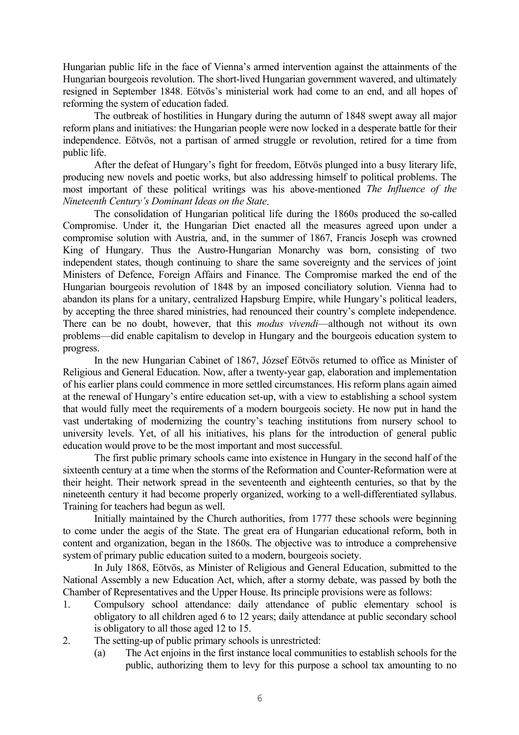Hungarian public life in the face of Vienna's armed intervention against the attainments of the Hungarian bourgeois revolution. The short-lived Hungarian government wavered, and ultimately resigned in September 1848. Eötvös's ministerial work had come to an end, and all hopes of reforming the system of education faded.

 The outbreak of hostilities in Hungary during the autumn of 1848 swept away all major reform plans and initiatives: the Hungarian people were now locked in a desperate battle for their independence. Eötvös, not a partisan of armed struggle or revolution, retired for a time from public life.

 After the defeat of Hungary's fight for freedom, Eötvös plunged into a busy literary life, producing new novels and poetic works, but also addressing himself to political problems. The most important of these political writings was his above-mentioned *The Influence of the Nineteenth Century's Dominant Ideas on the State*.

 The consolidation of Hungarian political life during the 1860s produced the so-called Compromise. Under it, the Hungarian Diet enacted all the measures agreed upon under a compromise solution with Austria, and, in the summer of 1867, Francis Joseph was crowned King of Hungary. Thus the Austro-Hungarian Monarchy was born, consisting of two independent states, though continuing to share the same sovereignty and the services of joint Ministers of Defence, Foreign Affairs and Finance. The Compromise marked the end of the Hungarian bourgeois revolution of 1848 by an imposed conciliatory solution. Vienna had to abandon its plans for a unitary, centralized Hapsburg Empire, while Hungary's political leaders, by accepting the three shared ministries, had renounced their country's complete independence. There can be no doubt, however, that this *modus vivendi*—although not without its own problems—did enable capitalism to develop in Hungary and the bourgeois education system to progress.

 In the new Hungarian Cabinet of 1867, József Eötvös returned to office as Minister of Religious and General Education. Now, after a twenty-year gap, elaboration and implementation of his earlier plans could commence in more settled circumstances. His reform plans again aimed at the renewal of Hungary's entire education set-up, with a view to establishing a school system that would fully meet the requirements of a modern bourgeois society. He now put in hand the vast undertaking of modernizing the country's teaching institutions from nursery school to university levels. Yet, of all his initiatives, his plans for the introduction of general public education would prove to be the most important and most successful.

 The first public primary schools came into existence in Hungary in the second half of the sixteenth century at a time when the storms of the Reformation and Counter-Reformation were at their height. Their network spread in the seventeenth and eighteenth centuries, so that by the nineteenth century it had become properly organized, working to a well-differentiated syllabus. Training for teachers had begun as well.

 Initially maintained by the Church authorities, from 1777 these schools were beginning to come under the aegis of the State. The great era of Hungarian educational reform, both in content and organization, began in the 1860s. The objective was to introduce a comprehensive system of primary public education suited to a modern, bourgeois society.

 In July 1868, Eötvös, as Minister of Religious and General Education, submitted to the National Assembly a new Education Act, which, after a stormy debate, was passed by both the Chamber of Representatives and the Upper House. Its principle provisions were as follows:

- 1. Compulsory school attendance: daily attendance of public elementary school is obligatory to all children aged 6 to 12 years; daily attendance at public secondary school is obligatory to all those aged 12 to 15.
- 2. The setting-up of public primary schools is unrestricted:
	- (a) The Act enjoins in the first instance local communities to establish schools for the public, authorizing them to levy for this purpose a school tax amounting to no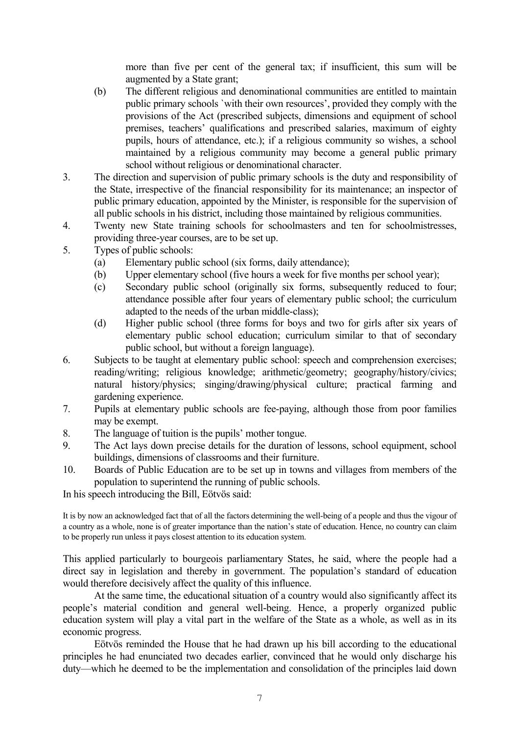more than five per cent of the general tax; if insufficient, this sum will be augmented by a State grant;

- (b) The different religious and denominational communities are entitled to maintain public primary schools `with their own resources', provided they comply with the provisions of the Act (prescribed subjects, dimensions and equipment of school premises, teachers' qualifications and prescribed salaries, maximum of eighty pupils, hours of attendance, etc.); if a religious community so wishes, a school maintained by a religious community may become a general public primary school without religious or denominational character.
- 3. The direction and supervision of public primary schools is the duty and responsibility of the State, irrespective of the financial responsibility for its maintenance; an inspector of public primary education, appointed by the Minister, is responsible for the supervision of all public schools in his district, including those maintained by religious communities.
- 4. Twenty new State training schools for schoolmasters and ten for schoolmistresses, providing three-year courses, are to be set up.
- 5. Types of public schools:
	- (a) Elementary public school (six forms, daily attendance);
	- (b) Upper elementary school (five hours a week for five months per school year);
	- (c) Secondary public school (originally six forms, subsequently reduced to four; attendance possible after four years of elementary public school; the curriculum adapted to the needs of the urban middle-class);
	- (d) Higher public school (three forms for boys and two for girls after six years of elementary public school education; curriculum similar to that of secondary public school, but without a foreign language).
- 6. Subjects to be taught at elementary public school: speech and comprehension exercises; reading/writing; religious knowledge; arithmetic/geometry; geography/history/civics; natural history/physics; singing/drawing/physical culture; practical farming and gardening experience.
- 7. Pupils at elementary public schools are fee-paying, although those from poor families may be exempt.
- 8. The language of tuition is the pupils' mother tongue.
- 9. The Act lays down precise details for the duration of lessons, school equipment, school buildings, dimensions of classrooms and their furniture.
- 10. Boards of Public Education are to be set up in towns and villages from members of the population to superintend the running of public schools.

In his speech introducing the Bill, Eötvös said:

It is by now an acknowledged fact that of all the factors determining the well-being of a people and thus the vigour of a country as a whole, none is of greater importance than the nation's state of education. Hence, no country can claim to be properly run unless it pays closest attention to its education system.

This applied particularly to bourgeois parliamentary States, he said, where the people had a direct say in legislation and thereby in government. The population's standard of education would therefore decisively affect the quality of this influence.

 At the same time, the educational situation of a country would also significantly affect its people's material condition and general well-being. Hence, a properly organized public education system will play a vital part in the welfare of the State as a whole, as well as in its economic progress.

 Eötvös reminded the House that he had drawn up his bill according to the educational principles he had enunciated two decades earlier, convinced that he would only discharge his duty—which he deemed to be the implementation and consolidation of the principles laid down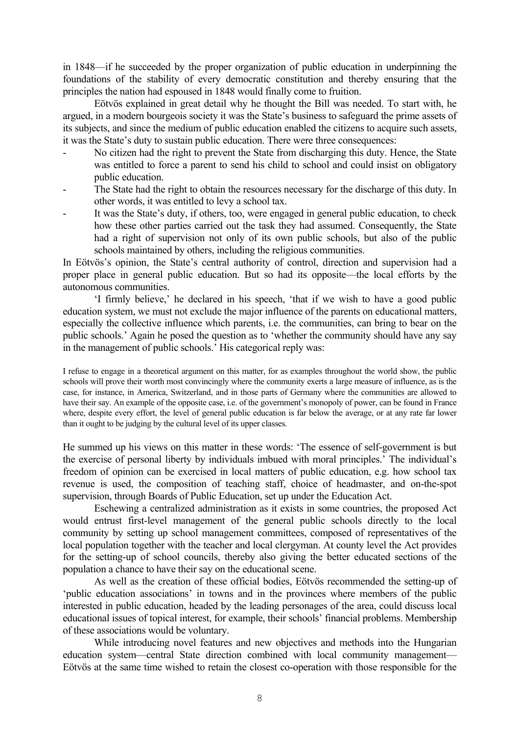in 1848—if he succeeded by the proper organization of public education in underpinning the foundations of the stability of every democratic constitution and thereby ensuring that the principles the nation had espoused in 1848 would finally come to fruition.

 Eötvös explained in great detail why he thought the Bill was needed. To start with, he argued, in a modern bourgeois society it was the State's business to safeguard the prime assets of its subjects, and since the medium of public education enabled the citizens to acquire such assets, it was the State's duty to sustain public education. There were three consequences:

- No citizen had the right to prevent the State from discharging this duty. Hence, the State was entitled to force a parent to send his child to school and could insist on obligatory public education.
- The State had the right to obtain the resources necessary for the discharge of this duty. In other words, it was entitled to levy a school tax.
- It was the State's duty, if others, too, were engaged in general public education, to check how these other parties carried out the task they had assumed. Consequently, the State had a right of supervision not only of its own public schools, but also of the public schools maintained by others, including the religious communities.

In Eötvös's opinion, the State's central authority of control, direction and supervision had a proper place in general public education. But so had its opposite—the local efforts by the autonomous communities.

 'I firmly believe,' he declared in his speech, 'that if we wish to have a good public education system, we must not exclude the major influence of the parents on educational matters, especially the collective influence which parents, i.e. the communities, can bring to bear on the public schools.' Again he posed the question as to 'whether the community should have any say in the management of public schools.' His categorical reply was:

I refuse to engage in a theoretical argument on this matter, for as examples throughout the world show, the public schools will prove their worth most convincingly where the community exerts a large measure of influence, as is the case, for instance, in America, Switzerland, and in those parts of Germany where the communities are allowed to have their say. An example of the opposite case, i.e. of the government's monopoly of power, can be found in France where, despite every effort, the level of general public education is far below the average, or at any rate far lower than it ought to be judging by the cultural level of its upper classes.

He summed up his views on this matter in these words: 'The essence of self-government is but the exercise of personal liberty by individuals imbued with moral principles.' The individual's freedom of opinion can be exercised in local matters of public education, e.g. how school tax revenue is used, the composition of teaching staff, choice of headmaster, and on-the-spot supervision, through Boards of Public Education, set up under the Education Act.

 Eschewing a centralized administration as it exists in some countries, the proposed Act would entrust first-level management of the general public schools directly to the local community by setting up school management committees, composed of representatives of the local population together with the teacher and local clergyman. At county level the Act provides for the setting-up of school councils, thereby also giving the better educated sections of the population a chance to have their say on the educational scene.

 As well as the creation of these official bodies, Eötvös recommended the setting-up of 'public education associations' in towns and in the provinces where members of the public interested in public education, headed by the leading personages of the area, could discuss local educational issues of topical interest, for example, their schools' financial problems. Membership of these associations would be voluntary.

 While introducing novel features and new objectives and methods into the Hungarian education system—central State direction combined with local community management— Eötvös at the same time wished to retain the closest co-operation with those responsible for the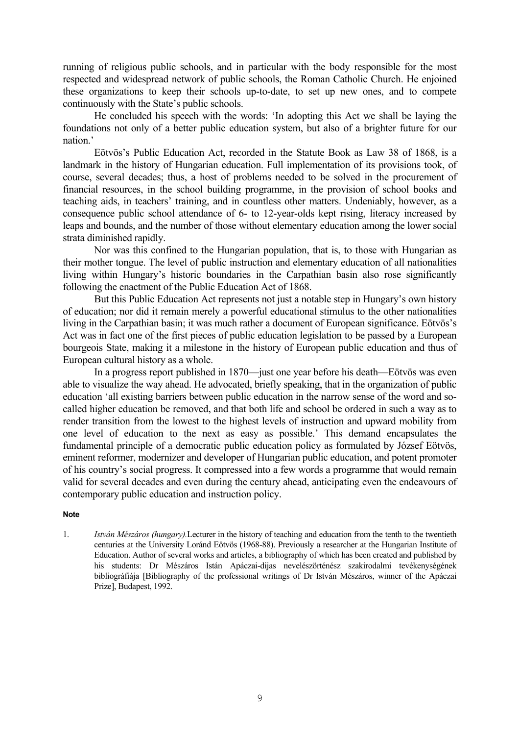running of religious public schools, and in particular with the body responsible for the most respected and widespread network of public schools, the Roman Catholic Church. He enjoined these organizations to keep their schools up-to-date, to set up new ones, and to compete continuously with the State's public schools.

 He concluded his speech with the words: 'In adopting this Act we shall be laying the foundations not only of a better public education system, but also of a brighter future for our nation.'

 Eötvös's Public Education Act, recorded in the Statute Book as Law 38 of 1868, is a landmark in the history of Hungarian education. Full implementation of its provisions took, of course, several decades; thus, a host of problems needed to be solved in the procurement of financial resources, in the school building programme, in the provision of school books and teaching aids, in teachers' training, and in countless other matters. Undeniably, however, as a consequence public school attendance of 6- to 12-year-olds kept rising, literacy increased by leaps and bounds, and the number of those without elementary education among the lower social strata diminished rapidly.

 Nor was this confined to the Hungarian population, that is, to those with Hungarian as their mother tongue. The level of public instruction and elementary education of all nationalities living within Hungary's historic boundaries in the Carpathian basin also rose significantly following the enactment of the Public Education Act of 1868.

 But this Public Education Act represents not just a notable step in Hungary's own history of education; nor did it remain merely a powerful educational stimulus to the other nationalities living in the Carpathian basin; it was much rather a document of European significance. Eötvös's Act was in fact one of the first pieces of public education legislation to be passed by a European bourgeois State, making it a milestone in the history of European public education and thus of European cultural history as a whole.

 In a progress report published in 1870—just one year before his death—Eötvös was even able to visualize the way ahead. He advocated, briefly speaking, that in the organization of public education 'all existing barriers between public education in the narrow sense of the word and socalled higher education be removed, and that both life and school be ordered in such a way as to render transition from the lowest to the highest levels of instruction and upward mobility from one level of education to the next as easy as possible.' This demand encapsulates the fundamental principle of a democratic public education policy as formulated by József Eötvös, eminent reformer, modernizer and developer of Hungarian public education, and potent promoter of his country's social progress. It compressed into a few words a programme that would remain valid for several decades and even during the century ahead, anticipating even the endeavours of contemporary public education and instruction policy.

## **Note**

1. *István Mészáros (hungary).*Lecturer in the history of teaching and education from the tenth to the twentieth centuries at the University Loránd Eötvös (1968-88). Previously a researcher at the Hungarian Institute of Education. Author of several works and articles, a bibliography of which has been created and published by his students: Dr Mészáros Istán Apáczai-dijas nevelészörténész szakirodalmi tevékenységének bibliográfiája [Bibliography of the professional writings of Dr István Mészáros, winner of the Apáczai Prize], Budapest, 1992.